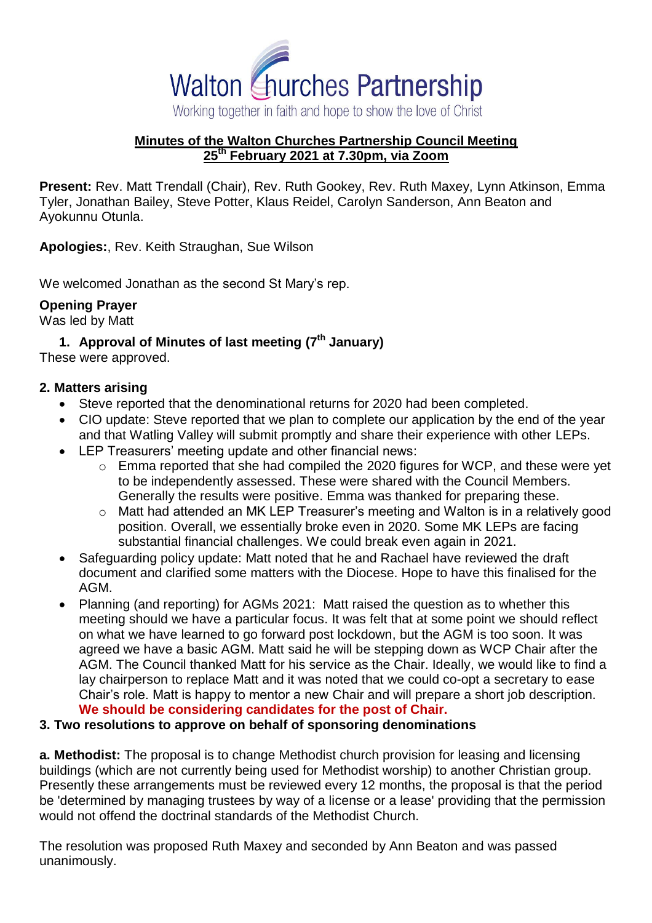

#### **Minutes of the Walton Churches Partnership Council Meeting 25th February 2021 at 7.30pm, via Zoom**

**Present:** Rev. Matt Trendall (Chair), Rev. Ruth Gookey, Rev. Ruth Maxey, Lynn Atkinson, Emma Tyler, Jonathan Bailey, Steve Potter, Klaus Reidel, Carolyn Sanderson, Ann Beaton and Ayokunnu Otunla.

**Apologies:**, Rev. Keith Straughan, Sue Wilson

We welcomed Jonathan as the second St Mary's rep.

# **Opening Prayer**

Was led by Matt

# **1. Approval of Minutes of last meeting (7 th January)**

These were approved.

#### **2. Matters arising**

- Steve reported that the denominational returns for 2020 had been completed.
- CIO update: Steve reported that we plan to complete our application by the end of the year and that Watling Valley will submit promptly and share their experience with other LEPs.
- LEP Treasurers' meeting update and other financial news:
	- o Emma reported that she had compiled the 2020 figures for WCP, and these were yet to be independently assessed. These were shared with the Council Members. Generally the results were positive. Emma was thanked for preparing these.
	- o Matt had attended an MK LEP Treasurer's meeting and Walton is in a relatively good position. Overall, we essentially broke even in 2020. Some MK LEPs are facing substantial financial challenges. We could break even again in 2021.
- Safeguarding policy update: Matt noted that he and Rachael have reviewed the draft document and clarified some matters with the Diocese. Hope to have this finalised for the AGM.
- Planning (and reporting) for AGMs 2021: Matt raised the question as to whether this meeting should we have a particular focus. It was felt that at some point we should reflect on what we have learned to go forward post lockdown, but the AGM is too soon. It was agreed we have a basic AGM. Matt said he will be stepping down as WCP Chair after the AGM. The Council thanked Matt for his service as the Chair. Ideally, we would like to find a lay chairperson to replace Matt and it was noted that we could co-opt a secretary to ease Chair's role. Matt is happy to mentor a new Chair and will prepare a short job description. **We should be considering candidates for the post of Chair.**

#### **3. Two resolutions to approve on behalf of sponsoring denominations**

**a. Methodist:** The proposal is to change Methodist church provision for leasing and licensing buildings (which are not currently being used for Methodist worship) to another Christian group. Presently these arrangements must be reviewed every 12 months, the proposal is that the period be 'determined by managing trustees by way of a license or a lease' providing that the permission would not offend the doctrinal standards of the Methodist Church.

The resolution was proposed Ruth Maxey and seconded by Ann Beaton and was passed unanimously.